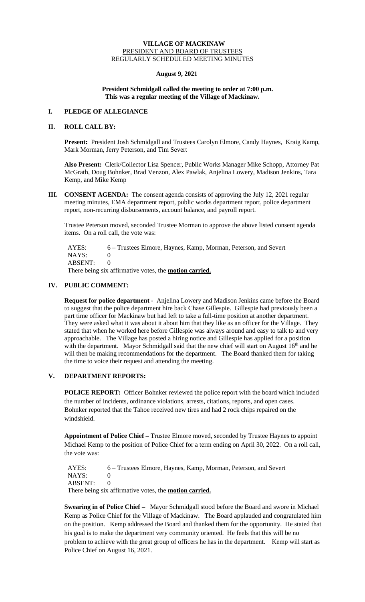# **VILLAGE OF MACKINAW** PRESIDENT AND BOARD OF TRUSTEES REGULARLY SCHEDULED MEETING MINUTES

### **August 9, 2021**

### **President Schmidgall called the meeting to order at 7:00 p.m. This was a regular meeting of the Village of Mackinaw.**

## **I. PLEDGE OF ALLEGIANCE**

# **II. ROLL CALL BY:**

**Present:** President Josh Schmidgall and Trustees Carolyn Elmore, Candy Haynes, Kraig Kamp, Mark Morman, Jerry Peterson, and Tim Severt

**Also Present:** Clerk/Collector Lisa Spencer, Public Works Manager Mike Schopp, Attorney Pat McGrath, Doug Bohnker, Brad Venzon, Alex Pawlak, Anjelina Lowery, Madison Jenkins, Tara Kemp, and Mike Kemp

**III. CONSENT AGENDA:** The consent agenda consists of approving the July 12, 2021 regular meeting minutes, EMA department report, public works department report, police department report, non-recurring disbursements, account balance, and payroll report.

Trustee Peterson moved, seconded Trustee Morman to approve the above listed consent agenda items. On a roll call, the vote was:

 AYES: 6 – Trustees Elmore, Haynes, Kamp, Morman, Peterson, and Severt NAYS: 0 ABSENT: 0

There being six affirmative votes, the **motion carried.**

# **IV. PUBLIC COMMENT:**

**Request for police department** - Anjelina Lowery and Madison Jenkins came before the Board to suggest that the police department hire back Chase Gillespie. Gillespie had previously been a part time officer for Mackinaw but had left to take a full-time position at another department. They were asked what it was about it about him that they like as an officer for the Village. They stated that when he worked here before Gillespie was always around and easy to talk to and very approachable. The Village has posted a hiring notice and Gillespie has applied for a position with the department. Mayor Schmidgall said that the new chief will start on August  $16<sup>th</sup>$  and he will then be making recommendations for the department. The Board thanked them for taking the time to voice their request and attending the meeting.

# **V. DEPARTMENT REPORTS:**

**POLICE REPORT:** Officer Bohnker reviewed the police report with the board which included the number of incidents, ordinance violations, arrests, citations, reports, and open cases. Bohnker reported that the Tahoe received new tires and had 2 rock chips repaired on the windshield.

**Appointment of Police Chief –** Trustee Elmore moved, seconded by Trustee Haynes to appoint Michael Kemp to the position of Police Chief for a term ending on April 30, 2022. On a roll call, the vote was:

 AYES: 6 – Trustees Elmore, Haynes, Kamp, Morman, Peterson, and Severt NAYS: 0 ABSENT: 0

There being six affirmative votes, the **motion carried.**

**Swearing in of Police Chief –** Mayor Schmidgall stood before the Board and swore in Michael Kemp as Police Chief for the Village of Mackinaw. The Board applauded and congratulated him on the position. Kemp addressed the Board and thanked them for the opportunity. He stated that his goal is to make the department very community oriented. He feels that this will be no problem to achieve with the great group of officers he has in the department. Kemp will start as Police Chief on August 16, 2021.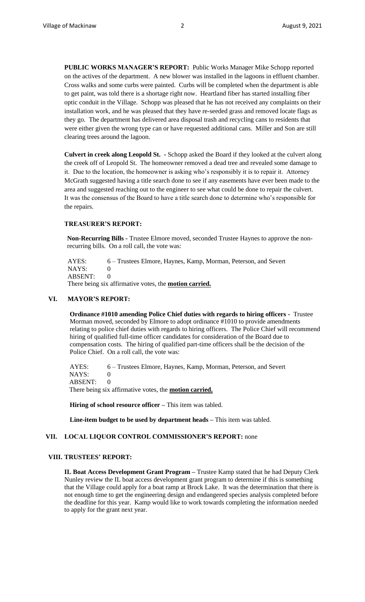**PUBLIC WORKS MANAGER'S REPORT:** Public Works Manager Mike Schopp reported on the actives of the department. A new blower was installed in the lagoons in effluent chamber. Cross walks and some curbs were painted. Curbs will be completed when the department is able to get paint, was told there is a shortage right now. Heartland fiber has started installing fiber optic conduit in the Village. Schopp was pleased that he has not received any complaints on their installation work, and he was pleased that they have re-seeded grass and removed locate flags as they go. The department has delivered area disposal trash and recycling cans to residents that were either given the wrong type can or have requested additional cans. Miller and Son are still clearing trees around the lagoon.

**Culvert in creek along Leopold St. -** Schopp asked the Board if they looked at the culvert along the creek off of Leopold St. The homeowner removed a dead tree and revealed some damage to it. Due to the location, the homeowner is asking who's responsibly it is to repair it. Attorney McGrath suggested having a title search done to see if any easements have ever been made to the area and suggested reaching out to the engineer to see what could be done to repair the culvert. It was the consensus of the Board to have a title search done to determine who's responsible for the repairs.

### **TREASURER'S REPORT:**

**Non-Recurring Bills -** Trustee Elmore moved, seconded Trustee Haynes to approve the nonrecurring bills. On a roll call, the vote was:

AYES: 6 – Trustees Elmore, Haynes, Kamp, Morman, Peterson, and Severt NAYS: 0 ABSENT: 0 There being six affirmative votes, the **motion carried.**

### **VI. MAYOR'S REPORT:**

**Ordinance #1010 amending Police Chief duties with regards to hiring officers -** Trustee Morman moved, seconded by Elmore to adopt ordinance #1010 to provide amendments relating to police chief duties with regards to hiring officers. The Police Chief will recommend hiring of qualified full-time officer candidates for consideration of the Board due to compensation costs. The hiring of qualified part-time officers shall be the decision of the Police Chief. On a roll call, the vote was:

AYES: 6 – Trustees Elmore, Haynes, Kamp, Morman, Peterson, and Severt NAYS: 0 ABSENT: 0 There being six affirmative votes, the **motion carried.**

**Hiring of school resource officer –** This item was tabled.

**Line-item budget to be used by department heads –** This item was tabled.

### **VII. LOCAL LIQUOR CONTROL COMMISSIONER'S REPORT:** none

### **VIII. TRUSTEES' REPORT:**

**IL Boat Access Development Grant Program –** Trustee Kamp stated that he had Deputy Clerk Nunley review the IL boat access development grant program to determine if this is something that the Village could apply for a boat ramp at Brock Lake. It was the determination that there is not enough time to get the engineering design and endangered species analysis completed before the deadline for this year. Kamp would like to work towards completing the information needed to apply for the grant next year.